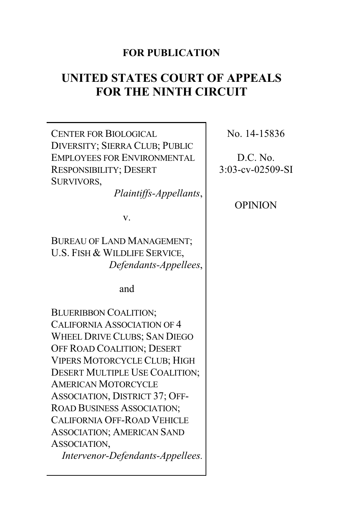# **FOR PUBLICATION**

# **UNITED STATES COURT OF APPEALS FOR THE NINTH CIRCUIT**

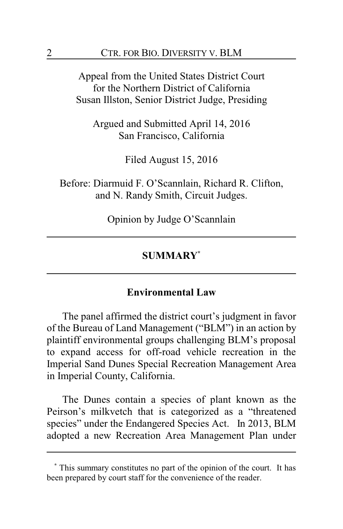Appeal from the United States District Court for the Northern District of California Susan Illston, Senior District Judge, Presiding

Argued and Submitted April 14, 2016 San Francisco, California

Filed August 15, 2016

Before: Diarmuid F. O'Scannlain, Richard R. Clifton, and N. Randy Smith, Circuit Judges.

Opinion by Judge O'Scannlain

# **SUMMARY\***

#### **Environmental Law**

The panel affirmed the district court's judgment in favor of the Bureau of Land Management ("BLM") in an action by plaintiff environmental groups challenging BLM's proposal to expand access for off-road vehicle recreation in the Imperial Sand Dunes Special Recreation Management Area in Imperial County, California.

The Dunes contain a species of plant known as the Peirson's milkvetch that is categorized as a "threatened species" under the Endangered Species Act. In 2013, BLM adopted a new Recreation Area Management Plan under

**<sup>\*</sup>** This summary constitutes no part of the opinion of the court. It has been prepared by court staff for the convenience of the reader.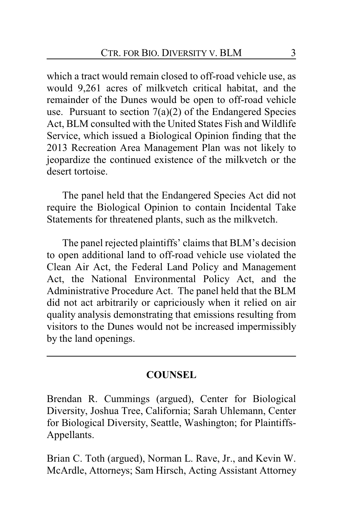which a tract would remain closed to off-road vehicle use, as would 9,261 acres of milkvetch critical habitat, and the remainder of the Dunes would be open to off-road vehicle use. Pursuant to section  $7(a)(2)$  of the Endangered Species Act, BLM consulted with the United States Fish and Wildlife Service, which issued a Biological Opinion finding that the 2013 Recreation Area Management Plan was not likely to jeopardize the continued existence of the milkvetch or the desert tortoise.

The panel held that the Endangered Species Act did not require the Biological Opinion to contain Incidental Take Statements for threatened plants, such as the milkvetch.

The panel rejected plaintiffs' claims that BLM's decision to open additional land to off-road vehicle use violated the Clean Air Act, the Federal Land Policy and Management Act, the National Environmental Policy Act, and the Administrative Procedure Act. The panel held that the BLM did not act arbitrarily or capriciously when it relied on air quality analysis demonstrating that emissions resulting from visitors to the Dunes would not be increased impermissibly by the land openings.

## **COUNSEL**

Brendan R. Cummings (argued), Center for Biological Diversity, Joshua Tree, California; Sarah Uhlemann, Center for Biological Diversity, Seattle, Washington; for Plaintiffs-Appellants.

Brian C. Toth (argued), Norman L. Rave, Jr., and Kevin W. McArdle, Attorneys; Sam Hirsch, Acting Assistant Attorney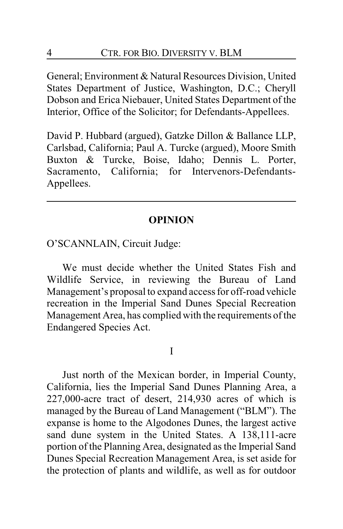General; Environment & Natural Resources Division, United States Department of Justice, Washington, D.C.; Cheryll Dobson and Erica Niebauer, United States Department of the Interior, Office of the Solicitor; for Defendants-Appellees.

David P. Hubbard (argued), Gatzke Dillon & Ballance LLP, Carlsbad, California; Paul A. Turcke (argued), Moore Smith Buxton & Turcke, Boise, Idaho; Dennis L. Porter, Sacramento, California; for Intervenors-Defendants-Appellees.

## **OPINION**

O'SCANNLAIN, Circuit Judge:

We must decide whether the United States Fish and Wildlife Service, in reviewing the Bureau of Land Management's proposal to expand access for off-road vehicle recreation in the Imperial Sand Dunes Special Recreation Management Area, has complied with the requirements of the Endangered Species Act.

I

Just north of the Mexican border, in Imperial County, California, lies the Imperial Sand Dunes Planning Area, a 227,000-acre tract of desert, 214,930 acres of which is managed by the Bureau of Land Management ("BLM"). The expanse is home to the Algodones Dunes, the largest active sand dune system in the United States. A 138,111-acre portion of the Planning Area, designated as the Imperial Sand Dunes Special Recreation Management Area, is set aside for the protection of plants and wildlife, as well as for outdoor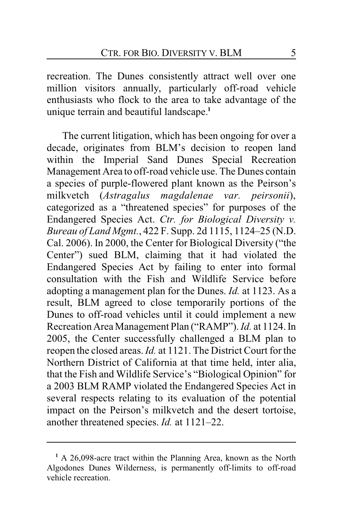recreation. The Dunes consistently attract well over one million visitors annually, particularly off-road vehicle enthusiasts who flock to the area to take advantage of the unique terrain and beautiful landscape.**<sup>1</sup>**

The current litigation, which has been ongoing for over a decade, originates from BLM's decision to reopen land within the Imperial Sand Dunes Special Recreation Management Area to off-road vehicle use. The Dunes contain a species of purple-flowered plant known as the Peirson's milkvetch (*Astragalus magdalenae var. peirsonii*), categorized as a "threatened species" for purposes of the Endangered Species Act. *Ctr. for Biological Diversity v. Bureau of Land Mgmt.*, 422 F. Supp. 2d 1115, 1124–25 (N.D. Cal. 2006). In 2000, the Center for Biological Diversity ("the Center") sued BLM, claiming that it had violated the Endangered Species Act by failing to enter into formal consultation with the Fish and Wildlife Service before adopting a management plan for the Dunes. *Id.* at 1123. As a result, BLM agreed to close temporarily portions of the Dunes to off-road vehicles until it could implement a new Recreation Area Management Plan ("RAMP"). *Id.* at 1124. In 2005, the Center successfully challenged a BLM plan to reopen the closed areas. *Id.* at 1121. The District Court for the Northern District of California at that time held, inter alia, that the Fish and Wildlife Service's "Biological Opinion" for a 2003 BLM RAMP violated the Endangered Species Act in several respects relating to its evaluation of the potential impact on the Peirson's milkvetch and the desert tortoise, another threatened species. *Id.* at 1121–22.

**<sup>1</sup>** A 26,098-acre tract within the Planning Area, known as the North Algodones Dunes Wilderness, is permanently off-limits to off-road vehicle recreation.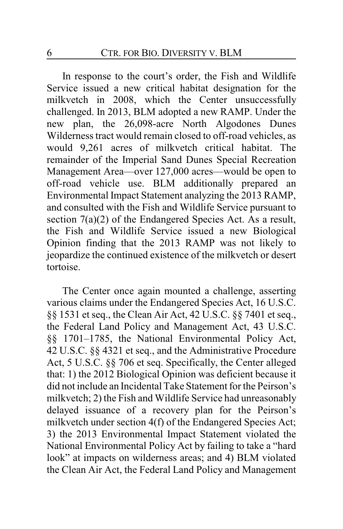In response to the court's order, the Fish and Wildlife Service issued a new critical habitat designation for the milkvetch in 2008, which the Center unsuccessfully challenged. In 2013, BLM adopted a new RAMP. Under the new plan, the 26,098-acre North Algodones Dunes Wilderness tract would remain closed to off-road vehicles, as would 9,261 acres of milkvetch critical habitat. The remainder of the Imperial Sand Dunes Special Recreation Management Area—over 127,000 acres—would be open to off-road vehicle use. BLM additionally prepared an Environmental Impact Statement analyzing the 2013 RAMP, and consulted with the Fish and Wildlife Service pursuant to section 7(a)(2) of the Endangered Species Act. As a result, the Fish and Wildlife Service issued a new Biological Opinion finding that the 2013 RAMP was not likely to jeopardize the continued existence of the milkvetch or desert tortoise.

The Center once again mounted a challenge, asserting various claims under the Endangered Species Act, 16 U.S.C. §§ 1531 et seq., the Clean Air Act, 42 U.S.C. §§ 7401 et seq., the Federal Land Policy and Management Act, 43 U.S.C. §§ 1701–1785, the National Environmental Policy Act, 42 U.S.C. §§ 4321 et seq., and the Administrative Procedure Act, 5 U.S.C. §§ 706 et seq. Specifically, the Center alleged that: 1) the 2012 Biological Opinion was deficient because it did not include an Incidental Take Statement for the Peirson's milkvetch; 2) the Fish and Wildlife Service had unreasonably delayed issuance of a recovery plan for the Peirson's milkvetch under section 4(f) of the Endangered Species Act; 3) the 2013 Environmental Impact Statement violated the National Environmental Policy Act by failing to take a "hard look" at impacts on wilderness areas; and 4) BLM violated the Clean Air Act, the Federal Land Policy and Management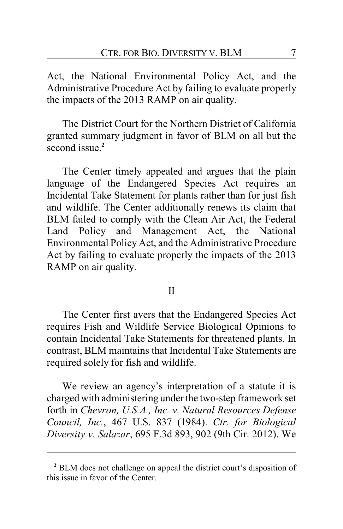Act, the National Environmental Policy Act, and the Administrative Procedure Act by failing to evaluate properly the impacts of the 2013 RAMP on air quality.

The District Court for the Northern District of California granted summary judgment in favor of BLM on all but the second issue.**<sup>2</sup>**

The Center timely appealed and argues that the plain language of the Endangered Species Act requires an Incidental Take Statement for plants rather than for just fish and wildlife. The Center additionally renews its claim that BLM failed to comply with the Clean Air Act, the Federal Land Policy and Management Act, the National Environmental Policy Act, and the Administrative Procedure Act by failing to evaluate properly the impacts of the 2013 RAMP on air quality.

#### II

The Center first avers that the Endangered Species Act requires Fish and Wildlife Service Biological Opinions to contain Incidental Take Statements for threatened plants. In contrast, BLM maintains that Incidental Take Statements are required solely for fish and wildlife.

We review an agency's interpretation of a statute it is charged with administering under the two-step framework set forth in *Chevron, U.S.A., Inc. v. Natural Resources Defense Council, Inc.*, 467 U.S. 837 (1984). *Ctr. for Biological Diversity v. Salazar*, 695 F.3d 893, 902 (9th Cir. 2012). We

**<sup>2</sup>** BLM does not challenge on appeal the district court's disposition of this issue in favor of the Center.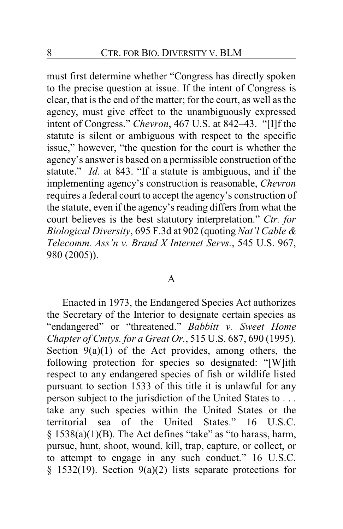must first determine whether "Congress has directly spoken to the precise question at issue. If the intent of Congress is clear, that is the end of the matter; for the court, as well as the agency, must give effect to the unambiguously expressed intent of Congress." *Chevron*, 467 U.S. at 842–43. "[I]f the statute is silent or ambiguous with respect to the specific issue," however, "the question for the court is whether the agency's answer is based on a permissible construction of the statute." *Id.* at 843. "If a statute is ambiguous, and if the implementing agency's construction is reasonable, *Chevron* requires a federal court to accept the agency's construction of the statute, even if the agency's reading differs from what the court believes is the best statutory interpretation." *Ctr. for Biological Diversity*, 695 F.3d at 902 (quoting *Nat'l Cable & Telecomm. Ass'n v. Brand X Internet Servs.*, 545 U.S. 967, 980 (2005)).

#### A

Enacted in 1973, the Endangered Species Act authorizes the Secretary of the Interior to designate certain species as "endangered" or "threatened." *Babbitt v. Sweet Home Chapter of Cmtys. for a Great Or.*, 515 U.S. 687, 690 (1995). Section  $9(a)(1)$  of the Act provides, among others, the following protection for species so designated: "[W]ith respect to any endangered species of fish or wildlife listed pursuant to section 1533 of this title it is unlawful for any person subject to the jurisdiction of the United States to . . . take any such species within the United States or the territorial sea of the United States." 16 U.S.C.  $§ 1538(a)(1)(B)$ . The Act defines "take" as "to harass, harm, pursue, hunt, shoot, wound, kill, trap, capture, or collect, or to attempt to engage in any such conduct." 16 U.S.C. § 1532(19). Section 9(a)(2) lists separate protections for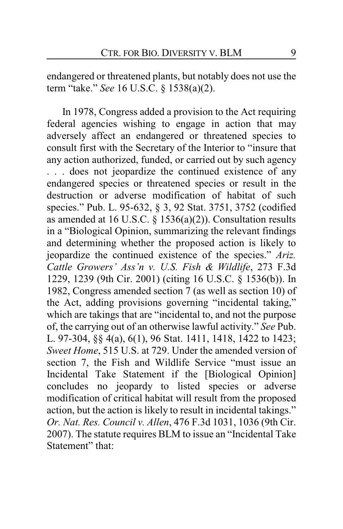endangered or threatened plants, but notably does not use the term "take." *See* 16 U.S.C. § 1538(a)(2).

In 1978, Congress added a provision to the Act requiring federal agencies wishing to engage in action that may adversely affect an endangered or threatened species to consult first with the Secretary of the Interior to "insure that any action authorized, funded, or carried out by such agency . . . does not jeopardize the continued existence of any endangered species or threatened species or result in the destruction or adverse modification of habitat of such species." Pub. L. 95-632, § 3, 92 Stat. 3751, 3752 (codified as amended at 16 U.S.C. § 1536(a)(2)). Consultation results in a "Biological Opinion, summarizing the relevant findings and determining whether the proposed action is likely to jeopardize the continued existence of the species." *Ariz. Cattle Growers' Ass'n v. U.S. Fish & Wildlife*, 273 F.3d 1229, 1239 (9th Cir. 2001) (citing 16 U.S.C. § 1536(b)). In 1982, Congress amended section 7 (as well as section 10) of the Act, adding provisions governing "incidental taking," which are takings that are "incidental to, and not the purpose of, the carrying out of an otherwise lawful activity." *See* Pub. L. 97-304, §§ 4(a), 6(1), 96 Stat. 1411, 1418, 1422 to 1423; *Sweet Home*, 515 U.S. at 729. Under the amended version of section 7, the Fish and Wildlife Service "must issue an Incidental Take Statement if the [Biological Opinion] concludes no jeopardy to listed species or adverse modification of critical habitat will result from the proposed action, but the action is likely to result in incidental takings." *Or. Nat. Res. Council v. Allen*, 476 F.3d 1031, 1036 (9th Cir. 2007). The statute requires BLM to issue an "Incidental Take Statement" that: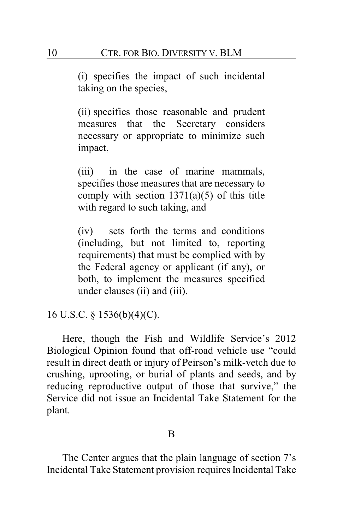(i) specifies the impact of such incidental taking on the species,

(ii) specifies those reasonable and prudent measures that the Secretary considers necessary or appropriate to minimize such impact,

(iii) in the case of marine mammals, specifies those measures that are necessary to comply with section  $1371(a)(5)$  of this title with regard to such taking, and

(iv) sets forth the terms and conditions (including, but not limited to, reporting requirements) that must be complied with by the Federal agency or applicant (if any), or both, to implement the measures specified under clauses (ii) and (iii).

16 U.S.C. § 1536(b)(4)(C).

Here, though the Fish and Wildlife Service's 2012 Biological Opinion found that off-road vehicle use "could result in direct death or injury of Peirson's milk-vetch due to crushing, uprooting, or burial of plants and seeds, and by reducing reproductive output of those that survive," the Service did not issue an Incidental Take Statement for the plant.

#### B

The Center argues that the plain language of section 7's Incidental Take Statement provision requires Incidental Take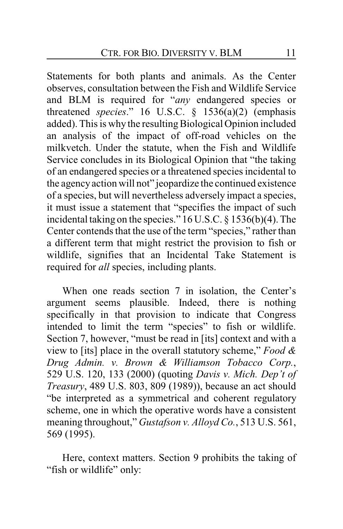Statements for both plants and animals. As the Center observes, consultation between the Fish and Wildlife Service and BLM is required for "*any* endangered species or threatened *species*." 16 U.S.C. § 1536(a)(2) (emphasis added). This is why the resulting Biological Opinion included an analysis of the impact of off-road vehicles on the milkvetch. Under the statute, when the Fish and Wildlife Service concludes in its Biological Opinion that "the taking of an endangered species or a threatened species incidental to the agencyaction will not" jeopardize the continued existence of a species, but will nevertheless adversely impact a species, it must issue a statement that "specifies the impact of such incidental taking on the species." 16 U.S.C. § 1536(b)(4). The Center contends that the use of the term "species," rather than a different term that might restrict the provision to fish or wildlife, signifies that an Incidental Take Statement is required for *all* species, including plants.

When one reads section 7 in isolation, the Center's argument seems plausible. Indeed, there is nothing specifically in that provision to indicate that Congress intended to limit the term "species" to fish or wildlife. Section 7, however, "must be read in [its] context and with a view to [its] place in the overall statutory scheme," *Food & Drug Admin. v. Brown & Williamson Tobacco Corp.*, 529 U.S. 120, 133 (2000) (quoting *Davis v. Mich. Dep't of Treasury*, 489 U.S. 803, 809 (1989)), because an act should "be interpreted as a symmetrical and coherent regulatory scheme, one in which the operative words have a consistent meaning throughout," *Gustafson v. Alloyd Co.*, 513 U.S. 561, 569 (1995).

Here, context matters. Section 9 prohibits the taking of "fish or wildlife" only: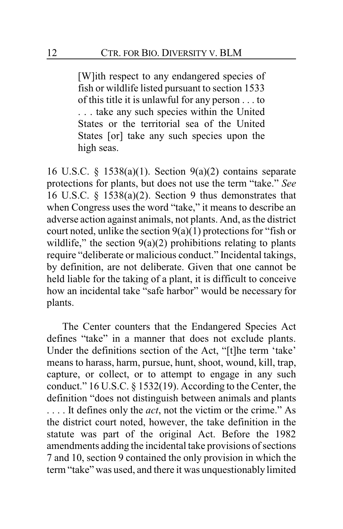[W]ith respect to any endangered species of fish or wildlife listed pursuant to section 1533 of this title it is unlawful for any person . . . to . . . take any such species within the United States or the territorial sea of the United States [or] take any such species upon the high seas.

16 U.S.C. § 1538(a)(1). Section 9(a)(2) contains separate protections for plants, but does not use the term "take." *See* 16 U.S.C. § 1538(a)(2). Section 9 thus demonstrates that when Congress uses the word "take," it means to describe an adverse action against animals, not plants. And, as the district court noted, unlike the section  $9(a)(1)$  protections for "fish or wildlife," the section  $9(a)(2)$  prohibitions relating to plants require "deliberate or malicious conduct." Incidental takings, by definition, are not deliberate. Given that one cannot be held liable for the taking of a plant, it is difficult to conceive how an incidental take "safe harbor" would be necessary for plants.

The Center counters that the Endangered Species Act defines "take" in a manner that does not exclude plants. Under the definitions section of the Act, "[t]he term 'take' means to harass, harm, pursue, hunt, shoot, wound, kill, trap, capture, or collect, or to attempt to engage in any such conduct." 16 U.S.C. § 1532(19). According to the Center, the definition "does not distinguish between animals and plants . . . . It defines only the *act*, not the victim or the crime." As the district court noted, however, the take definition in the statute was part of the original Act. Before the 1982 amendments adding the incidental take provisions of sections 7 and 10, section 9 contained the only provision in which the term "take" was used, and there it was unquestionably limited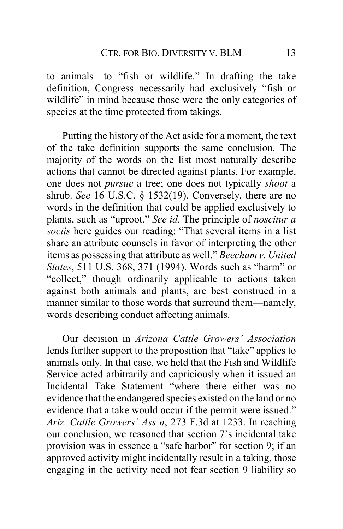to animals—to "fish or wildlife." In drafting the take definition, Congress necessarily had exclusively "fish or wildlife" in mind because those were the only categories of species at the time protected from takings.

Putting the history of the Act aside for a moment, the text of the take definition supports the same conclusion. The majority of the words on the list most naturally describe actions that cannot be directed against plants. For example, one does not *pursue* a tree; one does not typically *shoot* a shrub. *See* 16 U.S.C. § 1532(19). Conversely, there are no words in the definition that could be applied exclusively to plants, such as "uproot." *See id.* The principle of *noscitur a sociis* here guides our reading: "That several items in a list share an attribute counsels in favor of interpreting the other items as possessing that attribute as well." *Beecham v. United States*, 511 U.S. 368, 371 (1994). Words such as "harm" or "collect," though ordinarily applicable to actions taken against both animals and plants, are best construed in a manner similar to those words that surround them—namely, words describing conduct affecting animals.

Our decision in *Arizona Cattle Growers' Association* lends further support to the proposition that "take" applies to animals only. In that case, we held that the Fish and Wildlife Service acted arbitrarily and capriciously when it issued an Incidental Take Statement "where there either was no evidence that the endangered species existed on the land or no evidence that a take would occur if the permit were issued." *Ariz. Cattle Growers' Ass'n*, 273 F.3d at 1233. In reaching our conclusion, we reasoned that section 7's incidental take provision was in essence a "safe harbor" for section 9; if an approved activity might incidentally result in a taking, those engaging in the activity need not fear section 9 liability so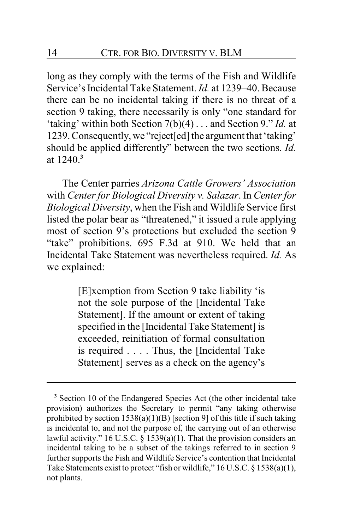long as they comply with the terms of the Fish and Wildlife Service's Incidental Take Statement. *Id.* at 1239–40. Because there can be no incidental taking if there is no threat of a section 9 taking, there necessarily is only "one standard for 'taking' within both Section 7(b)(4) . . . and Section 9." *Id.* at 1239. Consequently, we "reject[ed] the argument that 'taking' should be applied differently" between the two sections. *Id.* at 1240.**<sup>3</sup>**

The Center parries *Arizona Cattle Growers' Association* with *Center for Biological Diversity v. Salazar*. In *Center for Biological Diversity*, when the Fish and Wildlife Service first listed the polar bear as "threatened," it issued a rule applying most of section 9's protections but excluded the section 9 "take" prohibitions. 695 F.3d at 910. We held that an Incidental Take Statement was nevertheless required. *Id.* As we explained:

> [E]xemption from Section 9 take liability 'is not the sole purpose of the [Incidental Take Statement]. If the amount or extent of taking specified in the [Incidental Take Statement] is exceeded, reinitiation of formal consultation is required . . . . Thus, the [Incidental Take Statement] serves as a check on the agency's

**<sup>3</sup>** Section 10 of the Endangered Species Act (the other incidental take provision) authorizes the Secretary to permit "any taking otherwise prohibited by section  $1538(a)(1)(B)$  [section 9] of this title if such taking is incidental to, and not the purpose of, the carrying out of an otherwise lawful activity." 16 U.S.C.  $\S$  1539(a)(1). That the provision considers an incidental taking to be a subset of the takings referred to in section 9 further supports the Fish and Wildlife Service's contention that Incidental Take Statements exist to protect "fish or wildlife," 16 U.S.C. § 1538(a)(1), not plants.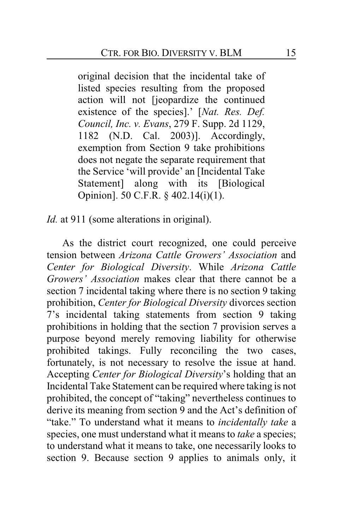original decision that the incidental take of listed species resulting from the proposed action will not [jeopardize the continued existence of the species].' [*Nat. Res. Def. Council, Inc. v. Evans*, 279 F. Supp. 2d 1129, 1182 (N.D. Cal. 2003)]. Accordingly, exemption from Section 9 take prohibitions does not negate the separate requirement that the Service 'will provide' an [Incidental Take Statement] along with its [Biological] Opinion]. 50 C.F.R. § 402.14(i)(1).

*Id.* at 911 (some alterations in original).

As the district court recognized, one could perceive tension between *Arizona Cattle Growers' Association* and *Center for Biological Diversity*. While *Arizona Cattle Growers' Association* makes clear that there cannot be a section 7 incidental taking where there is no section 9 taking prohibition, *Center for Biological Diversity* divorces section 7's incidental taking statements from section 9 taking prohibitions in holding that the section 7 provision serves a purpose beyond merely removing liability for otherwise prohibited takings. Fully reconciling the two cases, fortunately, is not necessary to resolve the issue at hand. Accepting *Center for Biological Diversity*'s holding that an Incidental Take Statement can be required where taking is not prohibited, the concept of "taking" nevertheless continues to derive its meaning from section 9 and the Act's definition of "take." To understand what it means to *incidentally take* a species, one must understand what it means to *take* a species; to understand what it means to take, one necessarily looks to section 9. Because section 9 applies to animals only, it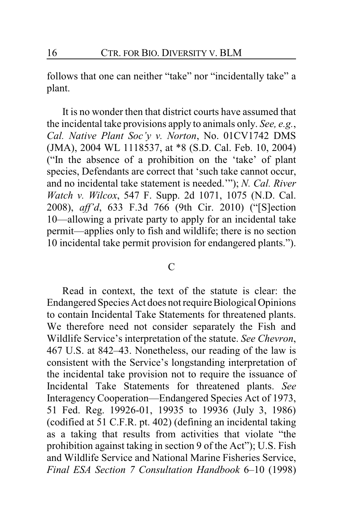follows that one can neither "take" nor "incidentally take" a plant.

It is no wonder then that district courts have assumed that the incidental take provisions apply to animals only. *See, e.g.*, *Cal. Native Plant Soc'y v. Norton*, No. 01CV1742 DMS (JMA), 2004 WL 1118537, at \*8 (S.D. Cal. Feb. 10, 2004) ("In the absence of a prohibition on the 'take' of plant species, Defendants are correct that 'such take cannot occur, and no incidental take statement is needed.'"); *N. Cal. River Watch v. Wilcox*, 547 F. Supp. 2d 1071, 1075 (N.D. Cal. 2008), *aff'd*, 633 F.3d 766 (9th Cir. 2010) ("[S]ection 10—allowing a private party to apply for an incidental take permit—applies only to fish and wildlife; there is no section 10 incidental take permit provision for endangered plants.").

#### $\mathcal{C}$

Read in context, the text of the statute is clear: the Endangered Species Act does not require Biological Opinions to contain Incidental Take Statements for threatened plants. We therefore need not consider separately the Fish and Wildlife Service's interpretation of the statute. *See Chevron*, 467 U.S. at 842–43. Nonetheless, our reading of the law is consistent with the Service's longstanding interpretation of the incidental take provision not to require the issuance of Incidental Take Statements for threatened plants. *See* Interagency Cooperation—Endangered Species Act of 1973, 51 Fed. Reg. 19926-01, 19935 to 19936 (July 3, 1986) (codified at 51 C.F.R. pt. 402) (defining an incidental taking as a taking that results from activities that violate "the prohibition against taking in section 9 of the Act"); U.S. Fish and Wildlife Service and National Marine Fisheries Service, *Final ESA Section 7 Consultation Handbook* 6–10 (1998)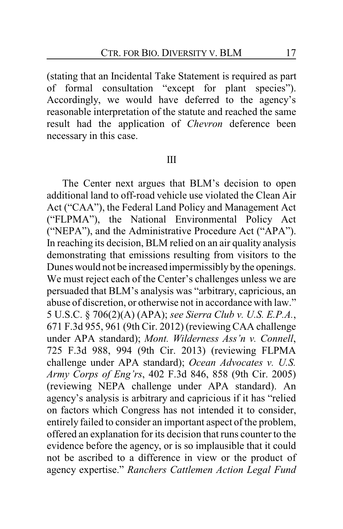(stating that an Incidental Take Statement is required as part of formal consultation "except for plant species"). Accordingly, we would have deferred to the agency's reasonable interpretation of the statute and reached the same result had the application of *Chevron* deference been necessary in this case.

#### III

The Center next argues that BLM's decision to open additional land to off-road vehicle use violated the Clean Air Act ("CAA"), the Federal Land Policy and Management Act ("FLPMA"), the National Environmental Policy Act ("NEPA"), and the Administrative Procedure Act ("APA"). In reaching its decision, BLM relied on an air quality analysis demonstrating that emissions resulting from visitors to the Dunes would not be increased impermissibly by the openings. We must reject each of the Center's challenges unless we are persuaded that BLM's analysis was "arbitrary, capricious, an abuse of discretion, or otherwise not in accordance with law." 5 U.S.C. § 706(2)(A) (APA); *see Sierra Club v. U.S. E.P.A.*, 671 F.3d 955, 961 (9th Cir. 2012) (reviewing CAA challenge under APA standard); *Mont. Wilderness Ass'n v. Connell*, 725 F.3d 988, 994 (9th Cir. 2013) (reviewing FLPMA challenge under APA standard); *Ocean Advocates v. U.S. Army Corps of Eng'rs*, 402 F.3d 846, 858 (9th Cir. 2005) (reviewing NEPA challenge under APA standard). An agency's analysis is arbitrary and capricious if it has "relied on factors which Congress has not intended it to consider, entirely failed to consider an important aspect of the problem, offered an explanation for its decision that runs counter to the evidence before the agency, or is so implausible that it could not be ascribed to a difference in view or the product of agency expertise." *Ranchers Cattlemen Action Legal Fund*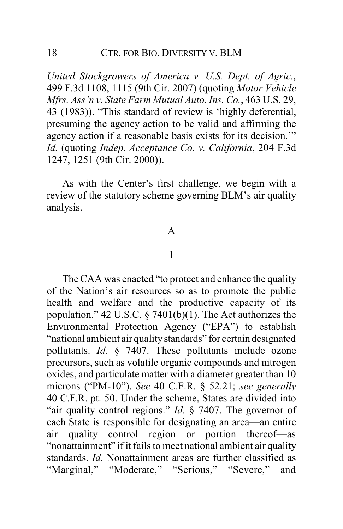*United Stockgrowers of America v. U.S. Dept. of Agric.*, 499 F.3d 1108, 1115 (9th Cir. 2007) (quoting *Motor Vehicle Mfrs. Ass'n v. State Farm Mutual Auto. Ins. Co.*, 463 U.S. 29, 43 (1983)). "This standard of review is 'highly deferential, presuming the agency action to be valid and affirming the agency action if a reasonable basis exists for its decision.'" *Id.* (quoting *Indep. Acceptance Co. v. California*, 204 F.3d 1247, 1251 (9th Cir. 2000)).

As with the Center's first challenge, we begin with a review of the statutory scheme governing BLM's air quality analysis.

### A

#### 1

The CAA was enacted "to protect and enhance the quality of the Nation's air resources so as to promote the public health and welfare and the productive capacity of its population." 42 U.S.C.  $\S$  7401(b)(1). The Act authorizes the Environmental Protection Agency ("EPA") to establish "national ambient air qualitystandards" for certain designated pollutants. *Id.* § 7407. These pollutants include ozone precursors, such as volatile organic compounds and nitrogen oxides, and particulate matter with a diameter greater than 10 microns ("PM-10"). *See* 40 C.F.R. § 52.21; *see generally* 40 C.F.R. pt. 50. Under the scheme, States are divided into "air quality control regions." *Id.* § 7407. The governor of each State is responsible for designating an area—an entire air quality control region or portion thereof—as "nonattainment" if it fails to meet national ambient air quality standards. *Id.* Nonattainment areas are further classified as "Marginal," "Moderate," "Serious," "Severe," and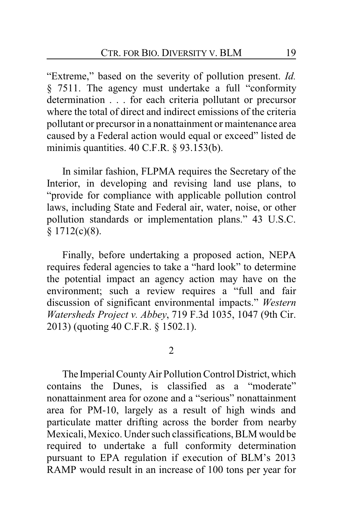"Extreme," based on the severity of pollution present. *Id.* § 7511. The agency must undertake a full "conformity determination . . . for each criteria pollutant or precursor where the total of direct and indirect emissions of the criteria pollutant or precursor in a nonattainment or maintenance area caused by a Federal action would equal or exceed" listed de minimis quantities. 40 C.F.R. § 93.153(b).

In similar fashion, FLPMA requires the Secretary of the Interior, in developing and revising land use plans, to "provide for compliance with applicable pollution control laws, including State and Federal air, water, noise, or other pollution standards or implementation plans." 43 U.S.C.  $§ 1712(c)(8).$ 

Finally, before undertaking a proposed action, NEPA requires federal agencies to take a "hard look" to determine the potential impact an agency action may have on the environment; such a review requires a "full and fair discussion of significant environmental impacts." *Western Watersheds Project v. Abbey*, 719 F.3d 1035, 1047 (9th Cir. 2013) (quoting 40 C.F.R. § 1502.1).

2

The Imperial County Air Pollution Control District, which contains the Dunes, is classified as a "moderate" nonattainment area for ozone and a "serious" nonattainment area for PM-10, largely as a result of high winds and particulate matter drifting across the border from nearby Mexicali, Mexico. Under such classifications, BLM would be required to undertake a full conformity determination pursuant to EPA regulation if execution of BLM's 2013 RAMP would result in an increase of 100 tons per year for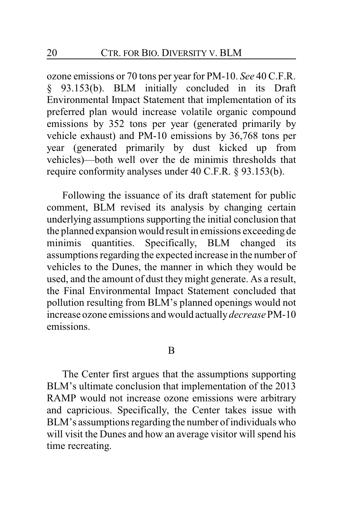ozone emissions or 70 tons per year for PM-10. *See* 40 C.F.R. § 93.153(b). BLM initially concluded in its Draft Environmental Impact Statement that implementation of its preferred plan would increase volatile organic compound emissions by 352 tons per year (generated primarily by vehicle exhaust) and PM-10 emissions by 36,768 tons per year (generated primarily by dust kicked up from vehicles)—both well over the de minimis thresholds that require conformity analyses under 40 C.F.R. § 93.153(b).

Following the issuance of its draft statement for public comment, BLM revised its analysis by changing certain underlying assumptions supporting the initial conclusion that the planned expansion would result in emissions exceeding de minimis quantities. Specifically, BLM changed its assumptions regarding the expected increase in the number of vehicles to the Dunes, the manner in which they would be used, and the amount of dust theymight generate. As a result, the Final Environmental Impact Statement concluded that pollution resulting from BLM's planned openings would not increase ozone emissions and would actually*decrease*PM-10 emissions.

#### B

The Center first argues that the assumptions supporting BLM's ultimate conclusion that implementation of the 2013 RAMP would not increase ozone emissions were arbitrary and capricious. Specifically, the Center takes issue with BLM's assumptions regarding the number of individuals who will visit the Dunes and how an average visitor will spend his time recreating.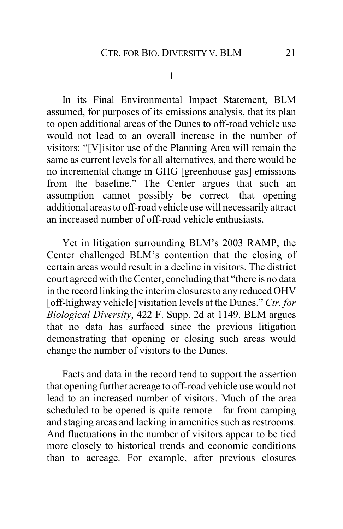#### 1

In its Final Environmental Impact Statement, BLM assumed, for purposes of its emissions analysis, that its plan to open additional areas of the Dunes to off-road vehicle use would not lead to an overall increase in the number of visitors: "[V]isitor use of the Planning Area will remain the same as current levels for all alternatives, and there would be no incremental change in GHG [greenhouse gas] emissions from the baseline." The Center argues that such an assumption cannot possibly be correct—that opening additional areas to off-road vehicle use will necessarilyattract an increased number of off-road vehicle enthusiasts.

Yet in litigation surrounding BLM's 2003 RAMP, the Center challenged BLM's contention that the closing of certain areas would result in a decline in visitors. The district court agreed with the Center, concluding that "there is no data in the record linking the interim closures to any reduced OHV [off-highway vehicle] visitation levels at the Dunes." *Ctr. for Biological Diversity*, 422 F. Supp. 2d at 1149. BLM argues that no data has surfaced since the previous litigation demonstrating that opening or closing such areas would change the number of visitors to the Dunes.

Facts and data in the record tend to support the assertion that opening further acreage to off-road vehicle use would not lead to an increased number of visitors. Much of the area scheduled to be opened is quite remote—far from camping and staging areas and lacking in amenities such as restrooms. And fluctuations in the number of visitors appear to be tied more closely to historical trends and economic conditions than to acreage. For example, after previous closures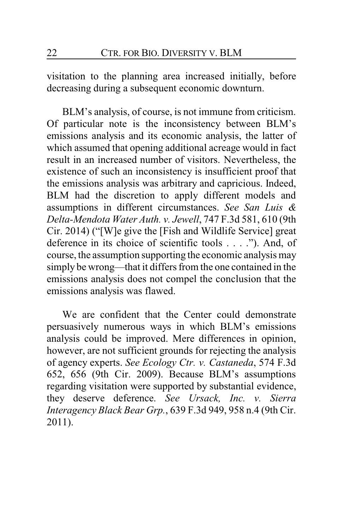visitation to the planning area increased initially, before decreasing during a subsequent economic downturn.

BLM's analysis, of course, is not immune from criticism. Of particular note is the inconsistency between BLM's emissions analysis and its economic analysis, the latter of which assumed that opening additional acreage would in fact result in an increased number of visitors. Nevertheless, the existence of such an inconsistency is insufficient proof that the emissions analysis was arbitrary and capricious. Indeed, BLM had the discretion to apply different models and assumptions in different circumstances. *See San Luis & Delta-Mendota Water Auth. v. Jewell*, 747 F.3d 581, 610 (9th Cir. 2014) ("[W]e give the [Fish and Wildlife Service] great deference in its choice of scientific tools . . . ."). And, of course, the assumption supporting the economic analysis may simply be wrong—that it differs from the one contained in the emissions analysis does not compel the conclusion that the emissions analysis was flawed.

We are confident that the Center could demonstrate persuasively numerous ways in which BLM's emissions analysis could be improved. Mere differences in opinion, however, are not sufficient grounds for rejecting the analysis of agency experts. *See Ecology Ctr. v. Castaneda*, 574 F.3d 652, 656 (9th Cir. 2009). Because BLM's assumptions regarding visitation were supported by substantial evidence, they deserve deference. *See Ursack, Inc. v. Sierra Interagency Black Bear Grp.*, 639 F.3d 949, 958 n.4 (9th Cir. 2011).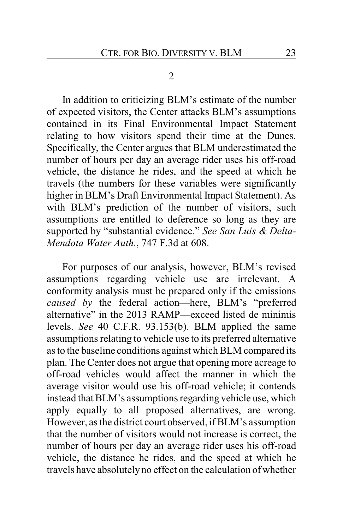#### 2

In addition to criticizing BLM's estimate of the number of expected visitors, the Center attacks BLM's assumptions contained in its Final Environmental Impact Statement relating to how visitors spend their time at the Dunes. Specifically, the Center argues that BLM underestimated the number of hours per day an average rider uses his off-road vehicle, the distance he rides, and the speed at which he travels (the numbers for these variables were significantly higher in BLM's Draft Environmental Impact Statement). As with BLM's prediction of the number of visitors, such assumptions are entitled to deference so long as they are supported by "substantial evidence." *See San Luis & Delta-Mendota Water Auth.*, 747 F.3d at 608.

For purposes of our analysis, however, BLM's revised assumptions regarding vehicle use are irrelevant. A conformity analysis must be prepared only if the emissions *caused by* the federal action—here, BLM's "preferred alternative" in the 2013 RAMP—exceed listed de minimis levels. *See* 40 C.F.R. 93.153(b). BLM applied the same assumptions relating to vehicle use to its preferred alternative as to the baseline conditions against which BLM compared its plan. The Center does not argue that opening more acreage to off-road vehicles would affect the manner in which the average visitor would use his off-road vehicle; it contends instead that BLM's assumptions regarding vehicle use, which apply equally to all proposed alternatives, are wrong. However, as the district court observed, if BLM's assumption that the number of visitors would not increase is correct, the number of hours per day an average rider uses his off-road vehicle, the distance he rides, and the speed at which he travels have absolutelyno effect on the calculation of whether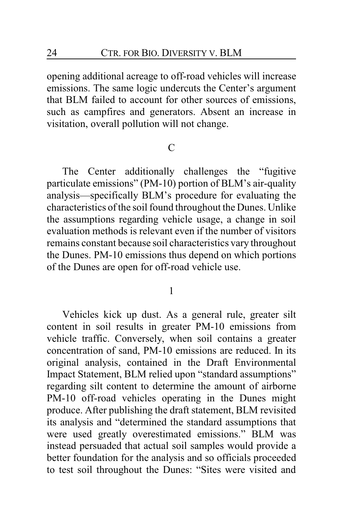opening additional acreage to off-road vehicles will increase emissions. The same logic undercuts the Center's argument that BLM failed to account for other sources of emissions, such as campfires and generators. Absent an increase in visitation, overall pollution will not change.

## $\mathcal{C}$

The Center additionally challenges the "fugitive particulate emissions" (PM-10) portion of BLM's air-quality analysis—specifically BLM's procedure for evaluating the characteristics of the soil found throughout the Dunes. Unlike the assumptions regarding vehicle usage, a change in soil evaluation methods is relevant even if the number of visitors remains constant because soil characteristics vary throughout the Dunes. PM-10 emissions thus depend on which portions of the Dunes are open for off-road vehicle use.

1

Vehicles kick up dust. As a general rule, greater silt content in soil results in greater PM-10 emissions from vehicle traffic. Conversely, when soil contains a greater concentration of sand, PM-10 emissions are reduced. In its original analysis, contained in the Draft Environmental Impact Statement, BLM relied upon "standard assumptions" regarding silt content to determine the amount of airborne PM-10 off-road vehicles operating in the Dunes might produce. After publishing the draft statement, BLM revisited its analysis and "determined the standard assumptions that were used greatly overestimated emissions." BLM was instead persuaded that actual soil samples would provide a better foundation for the analysis and so officials proceeded to test soil throughout the Dunes: "Sites were visited and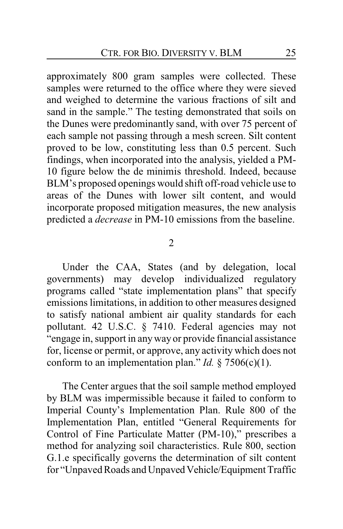approximately 800 gram samples were collected. These samples were returned to the office where they were sieved and weighed to determine the various fractions of silt and sand in the sample." The testing demonstrated that soils on the Dunes were predominantly sand, with over 75 percent of each sample not passing through a mesh screen. Silt content proved to be low, constituting less than 0.5 percent. Such findings, when incorporated into the analysis, yielded a PM-10 figure below the de minimis threshold. Indeed, because BLM's proposed openings would shift off-road vehicle use to areas of the Dunes with lower silt content, and would incorporate proposed mitigation measures, the new analysis predicted a *decrease* in PM-10 emissions from the baseline.

2

Under the CAA, States (and by delegation, local governments) may develop individualized regulatory programs called "state implementation plans" that specify emissions limitations, in addition to other measures designed to satisfy national ambient air quality standards for each pollutant. 42 U.S.C. § 7410. Federal agencies may not "engage in, support in anyway or provide financial assistance for, license or permit, or approve, any activity which does not conform to an implementation plan." *Id.*  $\S$  7506(c)(1).

The Center argues that the soil sample method employed by BLM was impermissible because it failed to conform to Imperial County's Implementation Plan. Rule 800 of the Implementation Plan, entitled "General Requirements for Control of Fine Particulate Matter (PM-10)," prescribes a method for analyzing soil characteristics. Rule 800, section G.1.e specifically governs the determination of silt content for "Unpaved Roads and Unpaved Vehicle/Equipment Traffic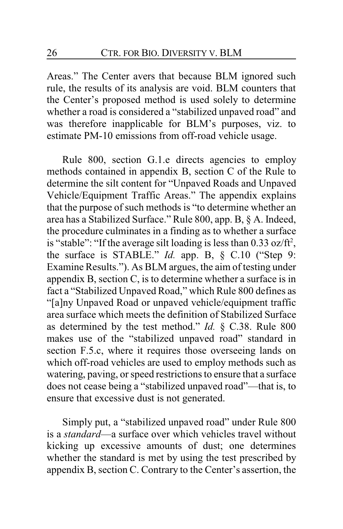Areas." The Center avers that because BLM ignored such rule, the results of its analysis are void. BLM counters that the Center's proposed method is used solely to determine whether a road is considered a "stabilized unpaved road" and was therefore inapplicable for BLM's purposes, viz. to estimate PM-10 emissions from off-road vehicle usage.

Rule 800, section G.1.e directs agencies to employ methods contained in appendix B, section C of the Rule to determine the silt content for "Unpaved Roads and Unpaved Vehicle/Equipment Traffic Areas." The appendix explains that the purpose of such methods is "to determine whether an area has a Stabilized Surface." Rule 800, app. B, § A. Indeed, the procedure culminates in a finding as to whether a surface is "stable": "If the average silt loading is less than  $0.33$  oz/ft<sup>2</sup>, the surface is STABLE." *Id.* app. B, § C.10 ("Step 9: Examine Results."). As BLM argues, the aim of testing under appendix B, section C, is to determine whether a surface is in fact a "Stabilized Unpaved Road," which Rule 800 defines as "[a]ny Unpaved Road or unpaved vehicle/equipment traffic area surface which meets the definition of Stabilized Surface as determined by the test method." *Id.* § C.38. Rule 800 makes use of the "stabilized unpaved road" standard in section F.5.c, where it requires those overseeing lands on which off-road vehicles are used to employ methods such as watering, paving, or speed restrictions to ensure that a surface does not cease being a "stabilized unpaved road"—that is, to ensure that excessive dust is not generated.

Simply put, a "stabilized unpaved road" under Rule 800 is a *standard*—a surface over which vehicles travel without kicking up excessive amounts of dust; one determines whether the standard is met by using the test prescribed by appendix B, section C. Contrary to the Center's assertion, the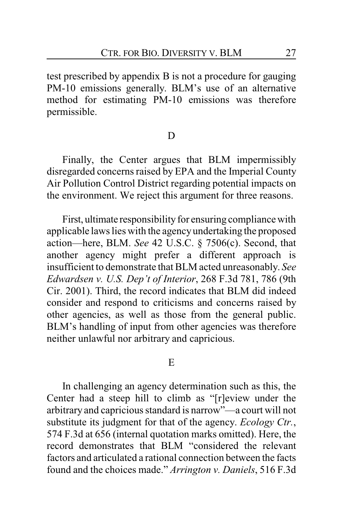test prescribed by appendix B is not a procedure for gauging PM-10 emissions generally. BLM's use of an alternative method for estimating PM-10 emissions was therefore permissible.

#### D

Finally, the Center argues that BLM impermissibly disregarded concerns raised by EPA and the Imperial County Air Pollution Control District regarding potential impacts on the environment. We reject this argument for three reasons.

First, ultimate responsibility for ensuring compliance with applicable laws lies with the agencyundertaking the proposed action—here, BLM. *See* 42 U.S.C. § 7506(c). Second, that another agency might prefer a different approach is insufficient to demonstrate that BLM acted unreasonably. *See Edwardsen v. U.S. Dep't of Interior*, 268 F.3d 781, 786 (9th Cir. 2001). Third, the record indicates that BLM did indeed consider and respond to criticisms and concerns raised by other agencies, as well as those from the general public. BLM's handling of input from other agencies was therefore neither unlawful nor arbitrary and capricious.

#### E

In challenging an agency determination such as this, the Center had a steep hill to climb as "[r]eview under the arbitrary and capricious standard is narrow"—a court will not substitute its judgment for that of the agency. *Ecology Ctr.*, 574 F.3d at 656 (internal quotation marks omitted). Here, the record demonstrates that BLM "considered the relevant factors and articulated a rational connection between the facts found and the choices made." *Arrington v. Daniels*, 516 F.3d